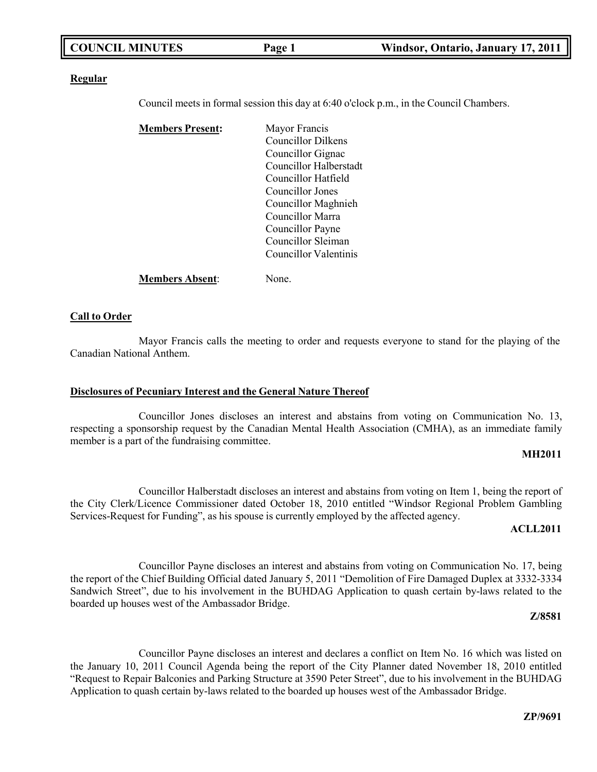| <b>COUNCIL MINUTES</b> | Page 1 | Windsor, Ontario, January 17, 2011 |
|------------------------|--------|------------------------------------|
|                        |        |                                    |

#### **Regular**

Council meets in formal session this day at 6:40 o'clock p.m., in the Council Chambers.

| <b>Members Present:</b> | Mayor Francis          |
|-------------------------|------------------------|
|                         | Councillor Dilkens     |
|                         | Councillor Gignac      |
|                         | Councillor Halberstadt |
|                         | Councillor Hatfield    |
|                         | Councillor Jones       |
|                         | Councillor Maghnieh    |
|                         | Councillor Marra       |
|                         | Councillor Payne       |
|                         | Councillor Sleiman     |
|                         | Councillor Valentinis  |
| <b>Members Absent:</b>  | None.                  |

## **Call to Order**

Mayor Francis calls the meeting to order and requests everyone to stand for the playing of the Canadian National Anthem.

### **Disclosures of Pecuniary Interest and the General Nature Thereof**

Councillor Jones discloses an interest and abstains from voting on Communication No. 13, respecting a sponsorship request by the Canadian Mental Health Association (CMHA), as an immediate family member is a part of the fundraising committee.

### **MH2011**

Councillor Halberstadt discloses an interest and abstains from voting on Item 1, being the report of the City Clerk/Licence Commissioner dated October 18, 2010 entitled "Windsor Regional Problem Gambling Services-Request for Funding", as his spouse is currently employed by the affected agency.

### **ACLL2011**

Councillor Payne discloses an interest and abstains from voting on Communication No. 17, being the report of the Chief Building Official dated January 5, 2011 "Demolition of Fire Damaged Duplex at 3332-3334 Sandwich Street", due to his involvement in the BUHDAG Application to quash certain by-laws related to the boarded up houses west of the Ambassador Bridge.

### **Z/8581**

Councillor Payne discloses an interest and declares a conflict on Item No. 16 which was listed on the January 10, 2011 Council Agenda being the report of the City Planner dated November 18, 2010 entitled "Request to Repair Balconies and Parking Structure at 3590 Peter Street", due to his involvement in the BUHDAG Application to quash certain by-laws related to the boarded up houses west of the Ambassador Bridge.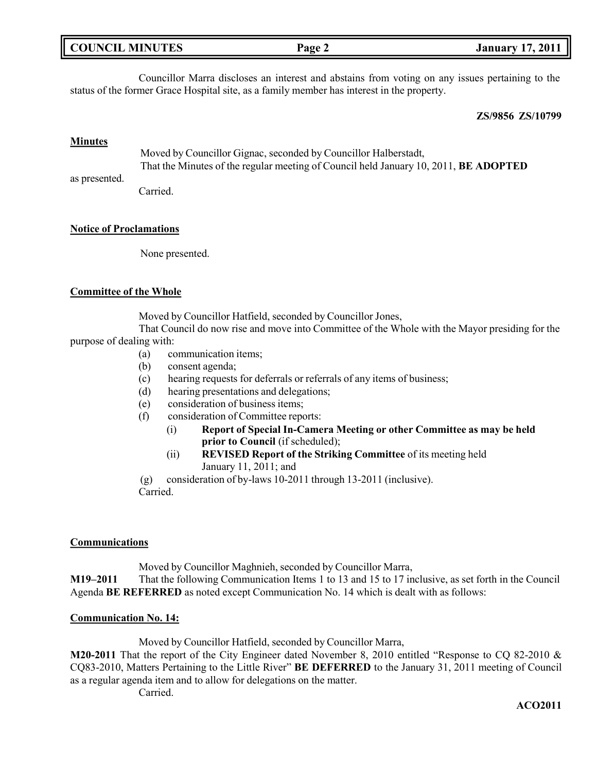| <b>COUNCIL MINUTES</b> | Page 2 | <b>January 17, 2011</b> |
|------------------------|--------|-------------------------|
|                        |        |                         |

Councillor Marra discloses an interest and abstains from voting on any issues pertaining to the status of the former Grace Hospital site, as a family member has interest in the property.

#### **ZS/9856 ZS/10799**

### **Minutes**

as presented. Moved by Councillor Gignac, seconded by Councillor Halberstadt, That the Minutes of the regular meeting of Council held January 10, 2011, **BE ADOPTED**

Carried.

#### **Notice of Proclamations**

None presented.

#### **Committee of the Whole**

Moved by Councillor Hatfield, seconded by Councillor Jones,

That Council do now rise and move into Committee of the Whole with the Mayor presiding for the purpose of dealing with:

- (a) communication items;
- (b) consent agenda;
- (c) hearing requests for deferrals or referrals of any items of business;
- (d) hearing presentations and delegations;
- (e) consideration of business items;
- (f) consideration of Committee reports:
	- (i) **Report of Special In-Camera Meeting or other Committee as may be held prior to Council** (if scheduled);
	- (ii) **REVISED Report of the Striking Committee** of its meeting held January 11, 2011; and

(g) consideration of by-laws 10-2011 through 13-2011 (inclusive). Carried.

## **Communications**

Moved by Councillor Maghnieh, seconded by Councillor Marra, **M19–2011** That the following Communication Items 1 to 13 and 15 to 17 inclusive, as set forth in the Council Agenda **BE REFERRED** as noted except Communication No. 14 which is dealt with as follows:

### **Communication No. 14:**

Moved by Councillor Hatfield, seconded by Councillor Marra,

**M20-2011** That the report of the City Engineer dated November 8, 2010 entitled "Response to CQ 82-2010 & CQ83-2010, Matters Pertaining to the Little River" **BE DEFERRED** to the January 31, 2011 meeting of Council as a regular agenda item and to allow for delegations on the matter.

Carried.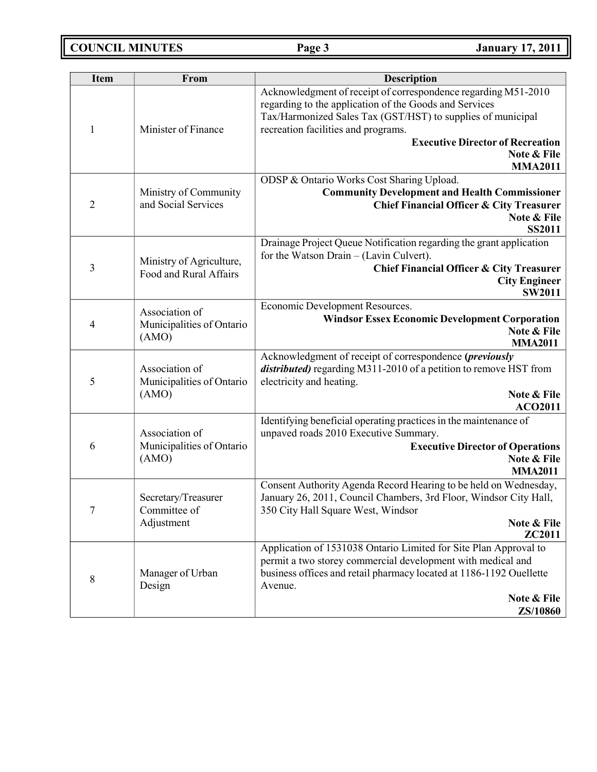**COUNCIL MINUTES Page 3 January 17, 2011**

| <b>Item</b>    | From                                                 | <b>Description</b>                                                                                                                                                                                                                                                                                         |
|----------------|------------------------------------------------------|------------------------------------------------------------------------------------------------------------------------------------------------------------------------------------------------------------------------------------------------------------------------------------------------------------|
| 1              | Minister of Finance                                  | Acknowledgment of receipt of correspondence regarding M51-2010<br>regarding to the application of the Goods and Services<br>Tax/Harmonized Sales Tax (GST/HST) to supplies of municipal<br>recreation facilities and programs.<br><b>Executive Director of Recreation</b><br>Note & File<br><b>MMA2011</b> |
| $\overline{2}$ | Ministry of Community<br>and Social Services         | ODSP & Ontario Works Cost Sharing Upload.<br><b>Community Development and Health Commissioner</b><br><b>Chief Financial Officer &amp; City Treasurer</b><br>Note & File<br><b>SS2011</b>                                                                                                                   |
| 3              | Ministry of Agriculture,<br>Food and Rural Affairs   | Drainage Project Queue Notification regarding the grant application<br>for the Watson Drain $-$ (Lavin Culvert).<br><b>Chief Financial Officer &amp; City Treasurer</b><br><b>City Engineer</b><br><b>SW2011</b>                                                                                           |
| 4              | Association of<br>Municipalities of Ontario<br>(AMO) | Economic Development Resources.<br><b>Windsor Essex Economic Development Corporation</b><br>Note & File<br><b>MMA2011</b>                                                                                                                                                                                  |
| 5              | Association of<br>Municipalities of Ontario<br>(AMO) | Acknowledgment of receipt of correspondence (previously<br>distributed) regarding M311-2010 of a petition to remove HST from<br>electricity and heating.<br>Note & File<br><b>ACO2011</b>                                                                                                                  |
| 6              | Association of<br>Municipalities of Ontario<br>(AMO) | Identifying beneficial operating practices in the maintenance of<br>unpaved roads 2010 Executive Summary.<br><b>Executive Director of Operations</b><br>Note & File<br><b>MMA2011</b>                                                                                                                      |
| 7              | Secretary/Treasurer<br>Committee of<br>Adjustment    | Consent Authority Agenda Record Hearing to be held on Wednesday,<br>January 26, 2011, Council Chambers, 3rd Floor, Windsor City Hall,<br>350 City Hall Square West, Windsor<br>Note & File<br>ZC2011                                                                                                       |
| 8              | Manager of Urban<br>Design                           | Application of 1531038 Ontario Limited for Site Plan Approval to<br>permit a two storey commercial development with medical and<br>business offices and retail pharmacy located at 1186-1192 Ouellette<br>Avenue.<br>Note & File<br><b>ZS/10860</b>                                                        |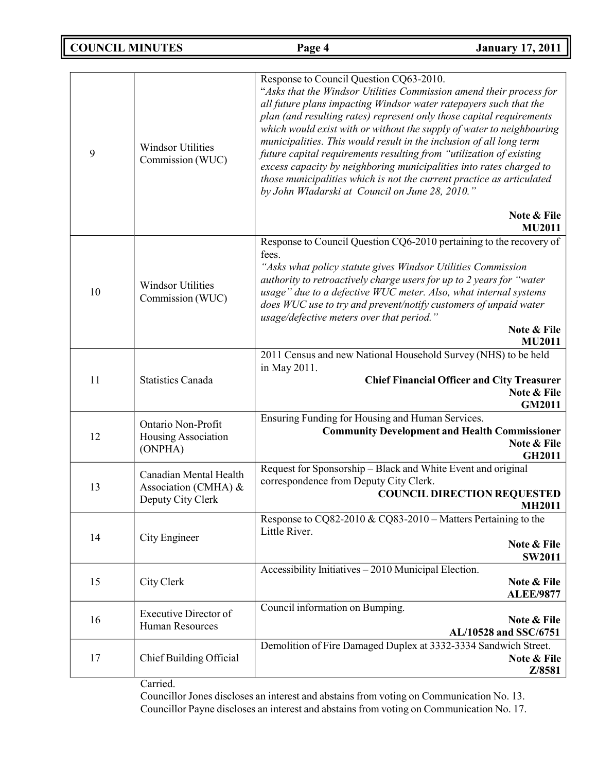**COUNCIL MINUTES Page 4 January 17, 2011**

| 9  | <b>Windsor Utilities</b><br>Commission (WUC)                        | Response to Council Question CQ63-2010.<br>"Asks that the Windsor Utilities Commission amend their process for<br>all future plans impacting Windsor water ratepayers such that the<br>plan (and resulting rates) represent only those capital requirements<br>which would exist with or without the supply of water to neighbouring<br>municipalities. This would result in the inclusion of all long term<br>future capital requirements resulting from "utilization of existing<br>excess capacity by neighboring municipalities into rates charged to<br>those municipalities which is not the current practice as articulated<br>by John Wladarski at Council on June 28, 2010."<br>Note & File<br>MU2011 |
|----|---------------------------------------------------------------------|----------------------------------------------------------------------------------------------------------------------------------------------------------------------------------------------------------------------------------------------------------------------------------------------------------------------------------------------------------------------------------------------------------------------------------------------------------------------------------------------------------------------------------------------------------------------------------------------------------------------------------------------------------------------------------------------------------------|
| 10 | <b>Windsor Utilities</b><br>Commission (WUC)                        | Response to Council Question CQ6-2010 pertaining to the recovery of<br>fees.<br>"Asks what policy statute gives Windsor Utilities Commission<br>authority to retroactively charge users for up to 2 years for "water<br>usage" due to a defective WUC meter. Also, what internal systems<br>does WUC use to try and prevent/notify customers of unpaid water<br>usage/defective meters over that period."<br>Note & File<br><b>MU2011</b>                                                                                                                                                                                                                                                                      |
| 11 | <b>Statistics Canada</b>                                            | 2011 Census and new National Household Survey (NHS) to be held<br>in May 2011.<br><b>Chief Financial Officer and City Treasurer</b><br>Note & File<br><b>GM2011</b>                                                                                                                                                                                                                                                                                                                                                                                                                                                                                                                                            |
| 12 | Ontario Non-Profit<br>Housing Association<br>(ONPHA)                | Ensuring Funding for Housing and Human Services.<br><b>Community Development and Health Commissioner</b><br>Note & File<br><b>GH2011</b>                                                                                                                                                                                                                                                                                                                                                                                                                                                                                                                                                                       |
| 13 | Canadian Mental Health<br>Association (CMHA) &<br>Deputy City Clerk | Request for Sponsorship - Black and White Event and original<br>correspondence from Deputy City Clerk.<br><b>COUNCIL DIRECTION REQUESTED</b><br><b>MH2011</b>                                                                                                                                                                                                                                                                                                                                                                                                                                                                                                                                                  |
| 14 | City Engineer                                                       | Response to CQ82-2010 & CQ83-2010 - Matters Pertaining to the<br>Little River.<br>Note & File<br><b>SW2011</b>                                                                                                                                                                                                                                                                                                                                                                                                                                                                                                                                                                                                 |
| 15 | City Clerk                                                          | Accessibility Initiatives - 2010 Municipal Election.<br>Note & File<br><b>ALEE/9877</b>                                                                                                                                                                                                                                                                                                                                                                                                                                                                                                                                                                                                                        |
| 16 | <b>Executive Director of</b><br><b>Human Resources</b>              | Council information on Bumping.<br>Note & File<br>AL/10528 and SSC/6751                                                                                                                                                                                                                                                                                                                                                                                                                                                                                                                                                                                                                                        |
| 17 | Chief Building Official                                             | Demolition of Fire Damaged Duplex at 3332-3334 Sandwich Street.<br>Note & File<br>Z/8581                                                                                                                                                                                                                                                                                                                                                                                                                                                                                                                                                                                                                       |

Carried.

Councillor Jones discloses an interest and abstains from voting on Communication No. 13. Councillor Payne discloses an interest and abstains from voting on Communication No. 17.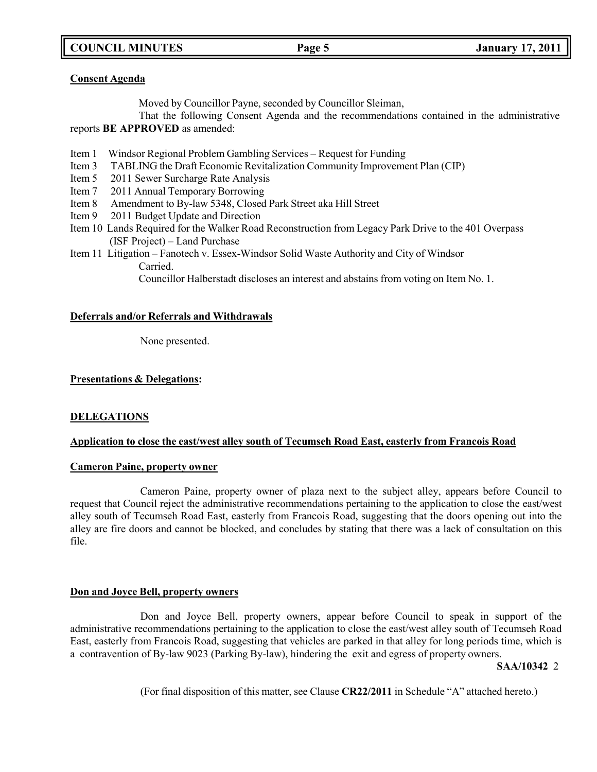**COUNCIL MINUTES Page 5 January 17, 2011**

## **Consent Agenda**

Moved by Councillor Payne, seconded by Councillor Sleiman,

That the following Consent Agenda and the recommendations contained in the administrative reports **BE APPROVED** as amended:

- Item 1 Windsor Regional Problem Gambling Services Request for Funding
- Item 3 TABLING the Draft Economic Revitalization Community Improvement Plan (CIP)
- Item 5 2011 Sewer Surcharge Rate Analysis
- Item 7 2011 Annual Temporary Borrowing
- Item 8 Amendment to By-law 5348, Closed Park Street aka Hill Street
- Item 9 2011 Budget Update and Direction
- Item 10 Lands Required for the Walker Road Reconstruction from Legacy Park Drive to the 401 Overpass (ISF Project) – Land Purchase
- Item 11 Litigation Fanotech v. Essex-Windsor Solid Waste Authority and City of Windsor Carried.

Councillor Halberstadt discloses an interest and abstains from voting on Item No. 1.

## **Deferrals and/or Referrals and Withdrawals**

None presented.

## **Presentations & Delegations:**

## **DELEGATIONS**

## **Application to close the east/west alley south of Tecumseh Road East, easterly from Francois Road**

## **Cameron Paine, property owner**

Cameron Paine, property owner of plaza next to the subject alley, appears before Council to request that Council reject the administrative recommendations pertaining to the application to close the east/west alley south of Tecumseh Road East, easterly from Francois Road, suggesting that the doors opening out into the alley are fire doors and cannot be blocked, and concludes by stating that there was a lack of consultation on this file.

### **Don and Joyce Bell, property owners**

Don and Joyce Bell, property owners, appear before Council to speak in support of the administrative recommendations pertaining to the application to close the east/west alley south of Tecumseh Road East, easterly from Francois Road, suggesting that vehicles are parked in that alley for long periods time, which is a contravention of By-law 9023 (Parking By-law), hindering the exit and egress of property owners.

### **SAA/10342** 2

(For final disposition of this matter, see Clause **CR22/2011** in Schedule "A" attached hereto.)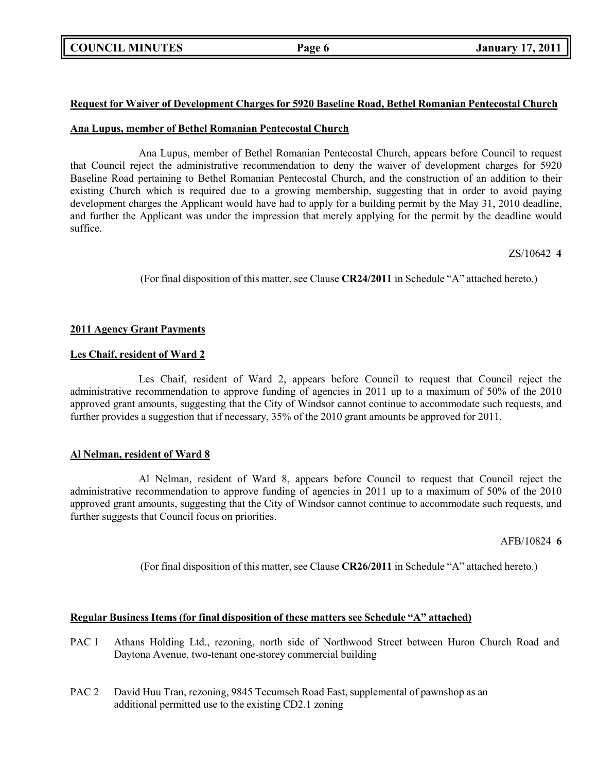## **Request for Waiver of Development Charges for 5920 Baseline Road, Bethel Romanian Pentecostal Church**

## **Ana Lupus, member of Bethel Romanian Pentecostal Church**

Ana Lupus, member of Bethel Romanian Pentecostal Church, appears before Council to request that Council reject the administrative recommendation to deny the waiver of development charges for 5920 Baseline Road pertaining to Bethel Romanian Pentecostal Church, and the construction of an addition to their existing Church which is required due to a growing membership, suggesting that in order to avoid paying development charges the Applicant would have had to apply for a building permit by the May 31, 2010 deadline, and further the Applicant was under the impression that merely applying for the permit by the deadline would suffice.

ZS/10642 **4**

(For final disposition of this matter, see Clause **CR24/2011** in Schedule "A" attached hereto.)

## **2011 Agency Grant Payments**

## **Les Chaif, resident of Ward 2**

Les Chaif, resident of Ward 2, appears before Council to request that Council reject the administrative recommendation to approve funding of agencies in 2011 up to a maximum of 50% of the 2010 approved grant amounts, suggesting that the City of Windsor cannot continue to accommodate such requests, and further provides a suggestion that if necessary, 35% of the 2010 grant amounts be approved for 2011.

## **Al Nelman, resident of Ward 8**

Al Nelman, resident of Ward 8, appears before Council to request that Council reject the administrative recommendation to approve funding of agencies in 2011 up to a maximum of 50% of the 2010 approved grant amounts, suggesting that the City of Windsor cannot continue to accommodate such requests, and further suggests that Council focus on priorities.

AFB/10824 **6**

(For final disposition of this matter, see Clause **CR26/2011** in Schedule "A" attached hereto.)

## **Regular Business Items (for final disposition of these matters see Schedule "A" attached)**

- PAC 1 Athans Holding Ltd., rezoning, north side of Northwood Street between Huron Church Road and Daytona Avenue, two-tenant one-storey commercial building
- PAC 2 David Huu Tran, rezoning, 9845 Tecumseh Road East, supplemental of pawnshop as an additional permitted use to the existing CD2.1 zoning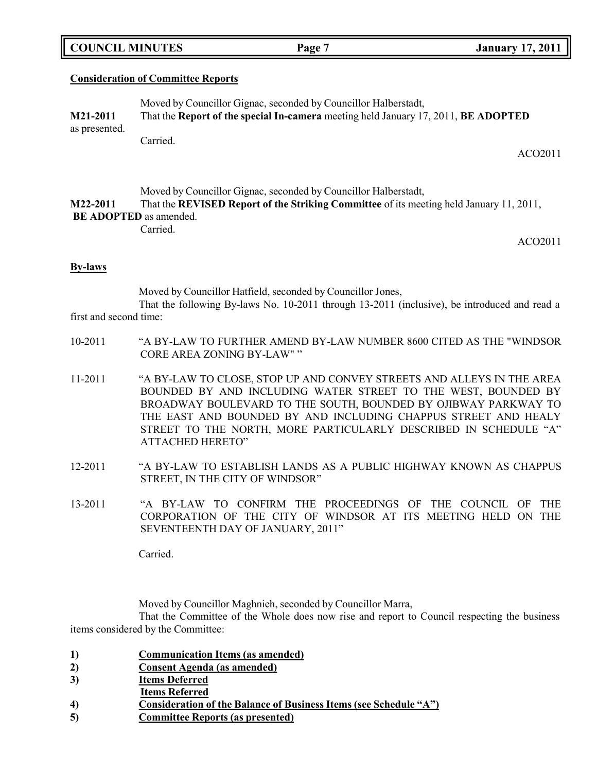| <b>COUNCIL MINUTES</b> |  |
|------------------------|--|

## **Consideration of Committee Reports**

| <b>M21-2011</b><br>as presented. | Moved by Councillor Gignac, seconded by Councillor Halberstadt,<br>That the Report of the special In-camera meeting held January 17, 2011, BE ADOPTED |         |
|----------------------------------|-------------------------------------------------------------------------------------------------------------------------------------------------------|---------|
|                                  | Carried.                                                                                                                                              | ACO2011 |

Moved by Councillor Gignac, seconded by Councillor Halberstadt, **M22-2011** That the **REVISED Report of the Striking Committee** of its meeting held January 11, 2011, **BE ADOPTED** as amended.

Carried.

ACO2011

## **By-laws**

Moved by Councillor Hatfield, seconded by Councillor Jones,

That the following By-laws No. 10-2011 through 13-2011 (inclusive), be introduced and read a first and second time:

- 10-2011 "A BY-LAW TO FURTHER AMEND BY-LAW NUMBER 8600 CITED AS THE "WINDSOR CORE AREA ZONING BY-LAW" "
- 11-2011 "A BY-LAW TO CLOSE, STOP UP AND CONVEY STREETS AND ALLEYS IN THE AREA BOUNDED BY AND INCLUDING WATER STREET TO THE WEST, BOUNDED BY BROADWAY BOULEVARD TO THE SOUTH, BOUNDED BY OJIBWAY PARKWAY TO THE EAST AND BOUNDED BY AND INCLUDING CHAPPUS STREET AND HEALY STREET TO THE NORTH, MORE PARTICULARLY DESCRIBED IN SCHEDULE "A" ATTACHED HERETO"
- 12-2011 "A BY-LAW TO ESTABLISH LANDS AS A PUBLIC HIGHWAY KNOWN AS CHAPPUS STREET, IN THE CITY OF WINDSOR"
- 13-2011 "A BY-LAW TO CONFIRM THE PROCEEDINGS OF THE COUNCIL OF THE CORPORATION OF THE CITY OF WINDSOR AT ITS MEETING HELD ON THE SEVENTEENTH DAY OF JANUARY, 2011"

Carried.

Moved by Councillor Maghnieh, seconded by Councillor Marra,

That the Committee of the Whole does now rise and report to Council respecting the business items considered by the Committee:

- **1) Communication Items (as amended)**
- **2) Consent Agenda (as amended)**
- **3) Items Deferred**
- **Items Referred**
- **4) Consideration of the Balance of Business Items (see Schedule "A")**
- **5) Committee Reports (as presented)**

**COUNCIL EXAMPLE 12. Page 7 January** 17, 2011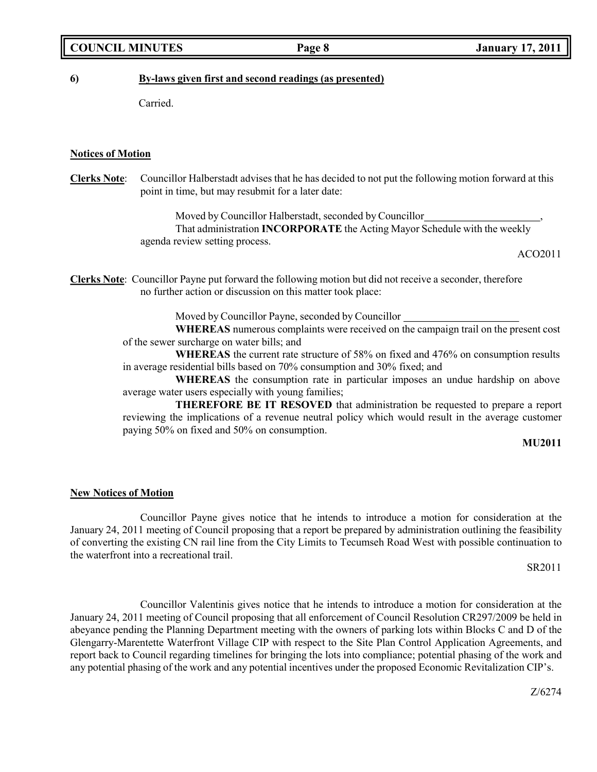## **COUNCIL MINUTES Page 8 January 17, 2011**

## **6) By-laws given first and second readings (as presented)**

Carried.

## **Notices of Motion**

**Clerks Note**: Councillor Halberstadt advises that he has decided to not put the following motion forward at this point in time, but may resubmit for a later date:

> Moved by Councillor Halberstadt, seconded by Councillor That administration **INCORPORATE** the Acting Mayor Schedule with the weekly agenda review setting process.

> > ACO2011

**Clerks Note**: Councillor Payne put forward the following motion but did not receive a seconder, therefore no further action or discussion on this matter took place:

Moved by Councillor Payne, seconded by Councillor

**WHEREAS** numerous complaints were received on the campaign trail on the present cost of the sewer surcharge on water bills; and

**WHEREAS** the current rate structure of 58% on fixed and 476% on consumption results in average residential bills based on 70% consumption and 30% fixed; and

**WHEREAS** the consumption rate in particular imposes an undue hardship on above average water users especially with young families;

**THEREFORE BE IT RESOVED** that administration be requested to prepare a report reviewing the implications of a revenue neutral policy which would result in the average customer paying 50% on fixed and 50% on consumption.

#### **MU2011**

### **New Notices of Motion**

Councillor Payne gives notice that he intends to introduce a motion for consideration at the January 24, 2011 meeting of Council proposing that a report be prepared by administration outlining the feasibility of converting the existing CN rail line from the City Limits to Tecumseh Road West with possible continuation to the waterfront into a recreational trail.

SR2011

Councillor Valentinis gives notice that he intends to introduce a motion for consideration at the January 24, 2011 meeting of Council proposing that all enforcement of Council Resolution CR297/2009 be held in abeyance pending the Planning Department meeting with the owners of parking lots within Blocks C and D of the Glengarry-Marentette Waterfront Village CIP with respect to the Site Plan Control Application Agreements, and report back to Council regarding timelines for bringing the lots into compliance; potential phasing of the work and any potential phasing of the work and any potential incentives under the proposed Economic Revitalization CIP's.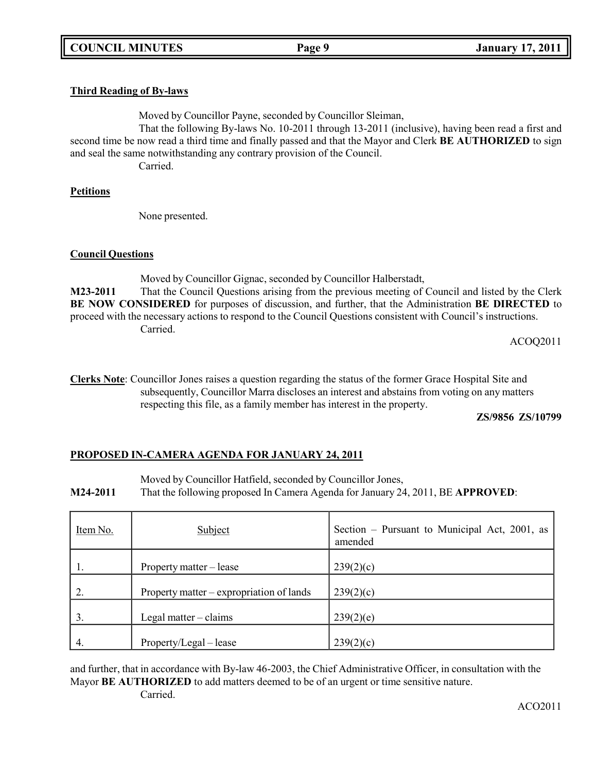## **Third Reading of By-laws**

Moved by Councillor Payne, seconded by Councillor Sleiman,

That the following By-laws No. 10-2011 through 13-2011 (inclusive), having been read a first and second time be now read a third time and finally passed and that the Mayor and Clerk **BE AUTHORIZED** to sign and seal the same notwithstanding any contrary provision of the Council.

Carried.

## **Petitions**

None presented.

## **Council Questions**

Moved by Councillor Gignac, seconded by Councillor Halberstadt, **M23-2011** That the Council Questions arising from the previous meeting of Council and listed by the Clerk **BE NOW CONSIDERED** for purposes of discussion, and further, that the Administration **BE DIRECTED** to proceed with the necessary actions to respond to the Council Questions consistent with Council's instructions. Carried.

ACOQ2011

**Clerks Note**: Councillor Jones raises a question regarding the status of the former Grace Hospital Site and subsequently, Councillor Marra discloses an interest and abstains from voting on any matters respecting this file, as a family member has interest in the property.

**ZS/9856 ZS/10799**

## **PROPOSED IN-CAMERA AGENDA FOR JANUARY 24, 2011**

Moved by Councillor Hatfield, seconded by Councillor Jones,

**M24-2011** That the following proposed In Camera Agenda for January 24, 2011, BE **APPROVED**:

| Item No. | Subject                                  | Section – Pursuant to Municipal Act, 2001, as<br>amended |
|----------|------------------------------------------|----------------------------------------------------------|
| ι.       | Property matter – lease                  | 239(2)(c)                                                |
|          | Property matter – expropriation of lands | 239(2)(c)                                                |
| 3.       | Legal matter $-$ claims                  | 239(2)(e)                                                |
| 4.       | Property/Legal – lease                   | 239(2)(c)                                                |

and further, that in accordance with By-law 46-2003, the Chief Administrative Officer, in consultation with the Mayor **BE AUTHORIZED** to add matters deemed to be of an urgent or time sensitive nature. Carried.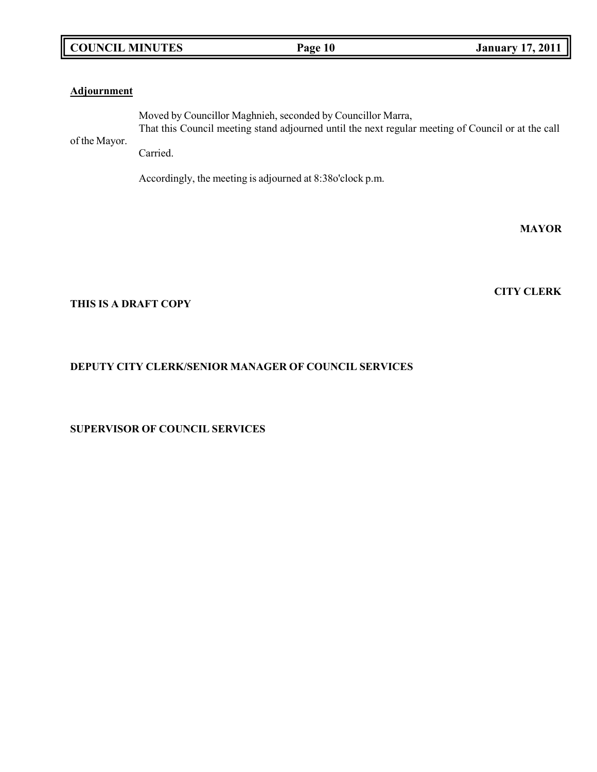## **COUNCIL MINUTES Page 10 January 17, 2011**

## **Adjournment**

of the Mayor. Moved by Councillor Maghnieh, seconded by Councillor Marra, That this Council meeting stand adjourned until the next regular meeting of Council or at the call

Carried.

Accordingly, the meeting is adjourned at 8:38o'clock p.m.

**MAYOR**

**CITY CLERK**

## **THIS IS A DRAFT COPY**

## **DEPUTY CITY CLERK/SENIOR MANAGER OF COUNCIL SERVICES**

**SUPERVISOR OF COUNCIL SERVICES**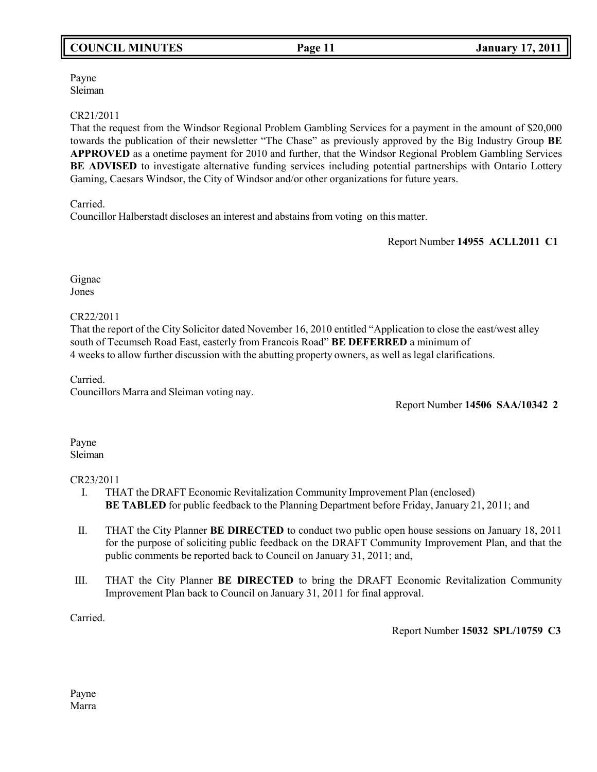## **COUNCIL MINUTES Page 11 January 17, 2011**

Payne Sleiman

## CR21/2011

That the request from the Windsor Regional Problem Gambling Services for a payment in the amount of \$20,000 towards the publication of their newsletter "The Chase" as previously approved by the Big Industry Group **BE APPROVED** as a onetime payment for 2010 and further, that the Windsor Regional Problem Gambling Services **BE ADVISED** to investigate alternative funding services including potential partnerships with Ontario Lottery Gaming, Caesars Windsor, the City of Windsor and/or other organizations for future years.

Carried.

Councillor Halberstadt discloses an interest and abstains from voting on this matter.

Report Number **14955 ACLL2011 C1**

Gignac Jones

CR22/2011

That the report of the City Solicitor dated November 16, 2010 entitled "Application to close the east/west alley south of Tecumseh Road East, easterly from Francois Road" **BE DEFERRED** a minimum of 4 weeks to allow further discussion with the abutting property owners, as well as legal clarifications.

Carried. Councillors Marra and Sleiman voting nay.

Report Number **14506 SAA/10342 2**

Payne Sleiman

## CR23/2011

- I. THAT the DRAFT Economic Revitalization Community Improvement Plan (enclosed) **BE TABLED** for public feedback to the Planning Department before Friday, January 21, 2011; and
- II. THAT the City Planner **BE DIRECTED** to conduct two public open house sessions on January 18, 2011 for the purpose of soliciting public feedback on the DRAFT Community Improvement Plan, and that the public comments be reported back to Council on January 31, 2011; and,
- III. THAT the City Planner **BE DIRECTED** to bring the DRAFT Economic Revitalization Community Improvement Plan back to Council on January 31, 2011 for final approval.

Carried.

Report Number **15032 SPL/10759 C3**

Payne Marra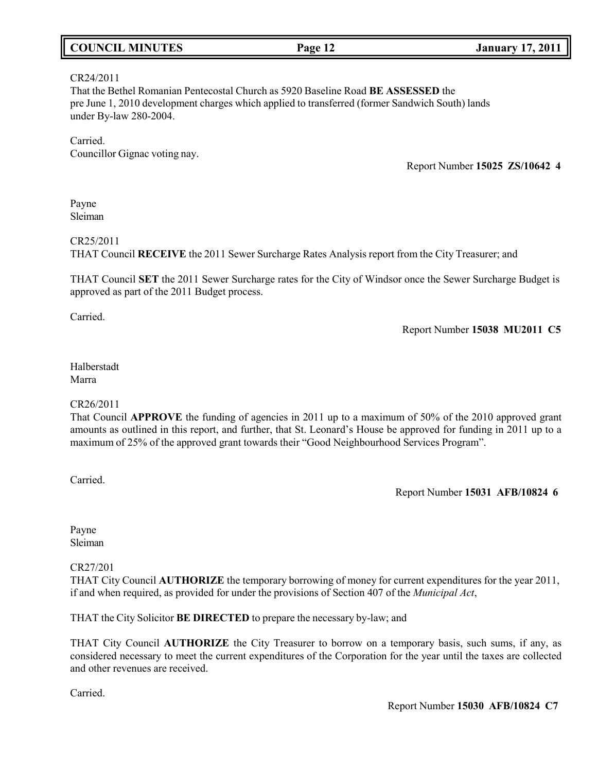| <b>COUNCIL MINUTES</b> | Page 12 | <b>January 17, 2011</b> |
|------------------------|---------|-------------------------|
|                        |         |                         |

## CR24/2011

That the Bethel Romanian Pentecostal Church as 5920 Baseline Road **BE ASSESSED** the pre June 1, 2010 development charges which applied to transferred (former Sandwich South) lands under By-law 280-2004.

Carried. Councillor Gignac voting nay.

Report Number **15025 ZS/10642 4**

Payne Sleiman

## CR25/2011

THAT Council **RECEIVE** the 2011 Sewer Surcharge Rates Analysis report from the City Treasurer; and

THAT Council **SET** the 2011 Sewer Surcharge rates for the City of Windsor once the Sewer Surcharge Budget is approved as part of the 2011 Budget process.

Carried.

Report Number **15038 MU2011 C5**

## Halberstadt Marra

## CR26/2011

That Council **APPROVE** the funding of agencies in 2011 up to a maximum of 50% of the 2010 approved grant amounts as outlined in this report, and further, that St. Leonard's House be approved for funding in 2011 up to a maximum of 25% of the approved grant towards their "Good Neighbourhood Services Program".

Carried.

Report Number **15031 AFB/10824 6**

Payne Sleiman

## CR27/201

THAT City Council **AUTHORIZE** the temporary borrowing of money for current expenditures for the year 2011, if and when required, as provided for under the provisions of Section 407 of the *Municipal Act*,

THAT the City Solicitor **BE DIRECTED** to prepare the necessary by-law; and

THAT City Council **AUTHORIZE** the City Treasurer to borrow on a temporary basis, such sums, if any, as considered necessary to meet the current expenditures of the Corporation for the year until the taxes are collected and other revenues are received.

Carried.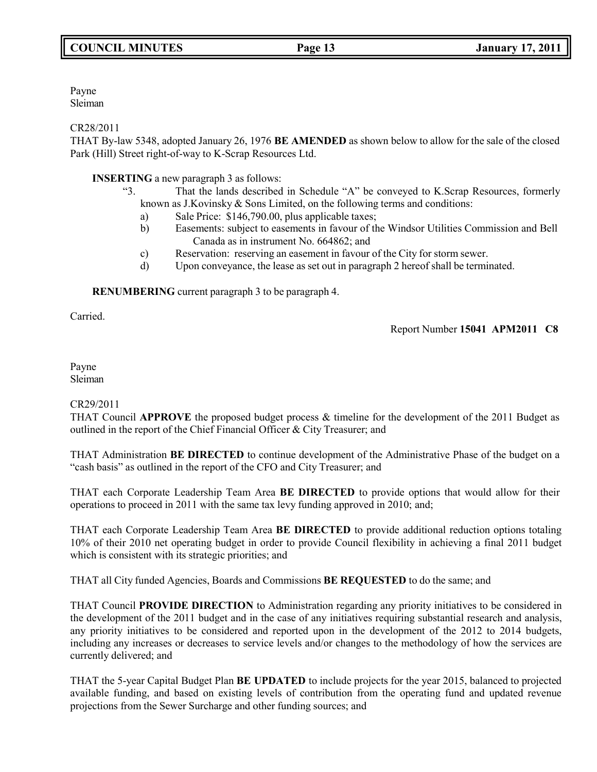Payne Sleiman

## CR28/2011

THAT By-law 5348, adopted January 26, 1976 **BE AMENDED** as shown below to allow for the sale of the closed Park (Hill) Street right-of-way to K-Scrap Resources Ltd.

## **INSERTING** a new paragraph 3 as follows:

- "3. That the lands described in Schedule "A" be conveyed to K.Scrap Resources, formerly known as J.Kovinsky & Sons Limited, on the following terms and conditions:
	- a) Sale Price: \$146,790.00, plus applicable taxes;
	- b) Easements: subject to easements in favour of the Windsor Utilities Commission and Bell Canada as in instrument No. 664862; and
	- c) Reservation: reserving an easement in favour of the City for storm sewer.
	- d) Upon conveyance, the lease as set out in paragraph 2 hereof shall be terminated.

**RENUMBERING** current paragraph 3 to be paragraph 4.

Carried.

Report Number **15041 APM2011 C8**

## Payne Sleiman

## CR29/2011

THAT Council **APPROVE** the proposed budget process & timeline for the development of the 2011 Budget as outlined in the report of the Chief Financial Officer & City Treasurer; and

THAT Administration **BE DIRECTED** to continue development of the Administrative Phase of the budget on a "cash basis" as outlined in the report of the CFO and City Treasurer; and

THAT each Corporate Leadership Team Area **BE DIRECTED** to provide options that would allow for their operations to proceed in 2011 with the same tax levy funding approved in 2010; and;

THAT each Corporate Leadership Team Area **BE DIRECTED** to provide additional reduction options totaling 10% of their 2010 net operating budget in order to provide Council flexibility in achieving a final 2011 budget which is consistent with its strategic priorities; and

THAT all City funded Agencies, Boards and Commissions **BE REQUESTED** to do the same; and

THAT Council **PROVIDE DIRECTION** to Administration regarding any priority initiatives to be considered in the development of the 2011 budget and in the case of any initiatives requiring substantial research and analysis, any priority initiatives to be considered and reported upon in the development of the 2012 to 2014 budgets, including any increases or decreases to service levels and/or changes to the methodology of how the services are currently delivered; and

THAT the 5-year Capital Budget Plan **BE UPDATED** to include projects for the year 2015, balanced to projected available funding, and based on existing levels of contribution from the operating fund and updated revenue projections from the Sewer Surcharge and other funding sources; and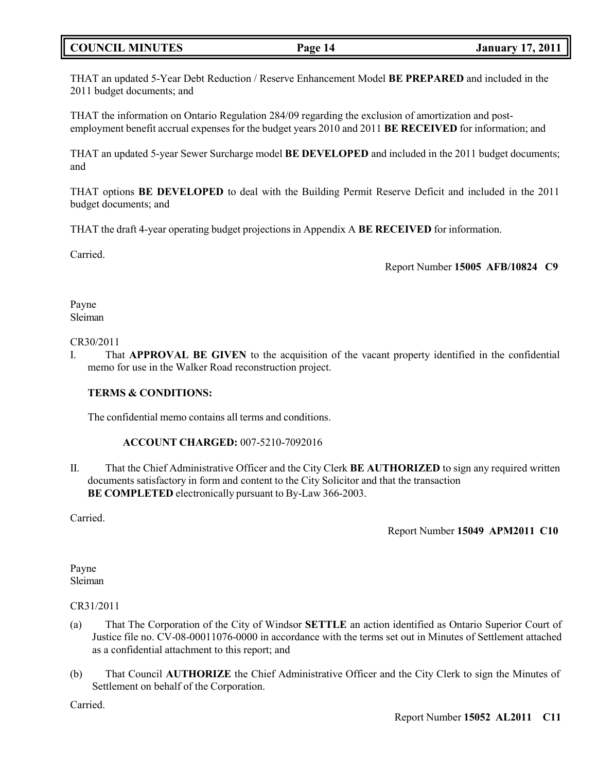## **COUNCIL MINUTES Page 14 January 17, 2011**

THAT an updated 5-Year Debt Reduction / Reserve Enhancement Model **BE PREPARED** and included in the 2011 budget documents; and

THAT the information on Ontario Regulation 284/09 regarding the exclusion of amortization and postemployment benefit accrual expenses for the budget years 2010 and 2011 **BE RECEIVED** for information; and

THAT an updated 5-year Sewer Surcharge model **BE DEVELOPED** and included in the 2011 budget documents; and

THAT options **BE DEVELOPED** to deal with the Building Permit Reserve Deficit and included in the 2011 budget documents; and

THAT the draft 4-year operating budget projections in Appendix A **BE RECEIVED** for information.

Carried.

Report Number **15005 AFB/10824 C9**

Payne Sleiman

CR30/2011

I. That **APPROVAL BE GIVEN** to the acquisition of the vacant property identified in the confidential memo for use in the Walker Road reconstruction project.

## **TERMS & CONDITIONS:**

The confidential memo contains all terms and conditions.

## **ACCOUNT CHARGED:** 007-5210-7092016

II. That the Chief Administrative Officer and the City Clerk **BE AUTHORIZED** to sign any required written documents satisfactory in form and content to the City Solicitor and that the transaction **BE COMPLETED** electronically pursuant to By-Law 366-2003.

Carried.

Report Number **15049 APM2011 C10**

Payne Sleiman

## CR31/2011

- (a) That The Corporation of the City of Windsor **SETTLE** an action identified as Ontario Superior Court of Justice file no. CV-08-00011076-0000 in accordance with the terms set out in Minutes of Settlement attached as a confidential attachment to this report; and
- (b) That Council **AUTHORIZE** the Chief Administrative Officer and the City Clerk to sign the Minutes of Settlement on behalf of the Corporation.

Carried.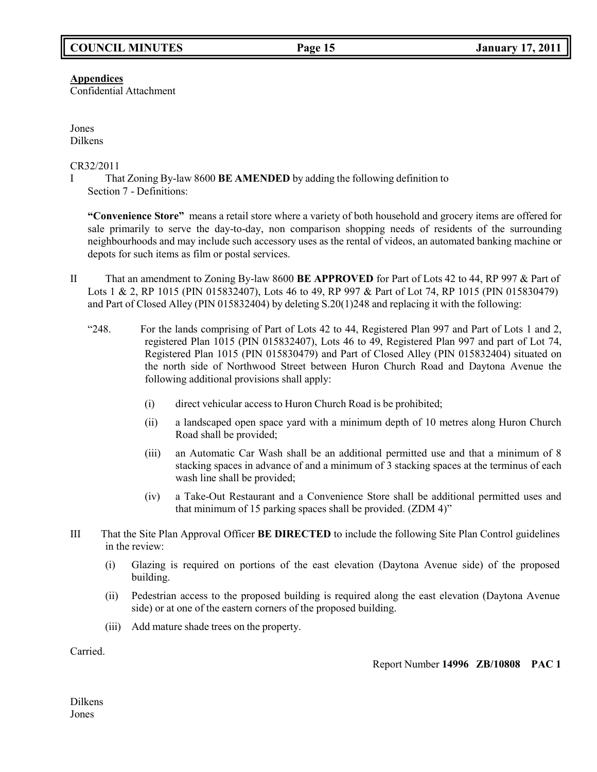**Appendices**

Confidential Attachment

Jones Dilkens

CR32/2011

I That Zoning By-law 8600 **BE AMENDED** by adding the following definition to Section 7 - Definitions:

**"Convenience Store"** means a retail store where a variety of both household and grocery items are offered for sale primarily to serve the day-to-day, non comparison shopping needs of residents of the surrounding neighbourhoods and may include such accessory uses as the rental of videos, an automated banking machine or depots for such items as film or postal services.

- II That an amendment to Zoning By-law 8600 **BE APPROVED** for Part of Lots 42 to 44, RP 997 & Part of Lots 1 & 2, RP 1015 (PIN 015832407), Lots 46 to 49, RP 997 & Part of Lot 74, RP 1015 (PIN 015830479) and Part of Closed Alley (PIN 015832404) by deleting S.20(1)248 and replacing it with the following:
	- "248. For the lands comprising of Part of Lots 42 to 44, Registered Plan 997 and Part of Lots 1 and 2, registered Plan 1015 (PIN 015832407), Lots 46 to 49, Registered Plan 997 and part of Lot 74, Registered Plan 1015 (PIN 015830479) and Part of Closed Alley (PIN 015832404) situated on the north side of Northwood Street between Huron Church Road and Daytona Avenue the following additional provisions shall apply:
		- (i) direct vehicular access to Huron Church Road is be prohibited;
		- (ii) a landscaped open space yard with a minimum depth of 10 metres along Huron Church Road shall be provided;
		- (iii) an Automatic Car Wash shall be an additional permitted use and that a minimum of 8 stacking spaces in advance of and a minimum of 3 stacking spaces at the terminus of each wash line shall be provided;
		- (iv) a Take-Out Restaurant and a Convenience Store shall be additional permitted uses and that minimum of 15 parking spaces shall be provided. (ZDM 4)"
- III That the Site Plan Approval Officer **BE DIRECTED** to include the following Site Plan Control guidelines in the review:
	- (i) Glazing is required on portions of the east elevation (Daytona Avenue side) of the proposed building.
	- (ii) Pedestrian access to the proposed building is required along the east elevation (Daytona Avenue side) or at one of the eastern corners of the proposed building.
	- (iii) Add mature shade trees on the property.

Carried.

Report Number **14996 ZB/10808 PAC 1**

Dilkens Jones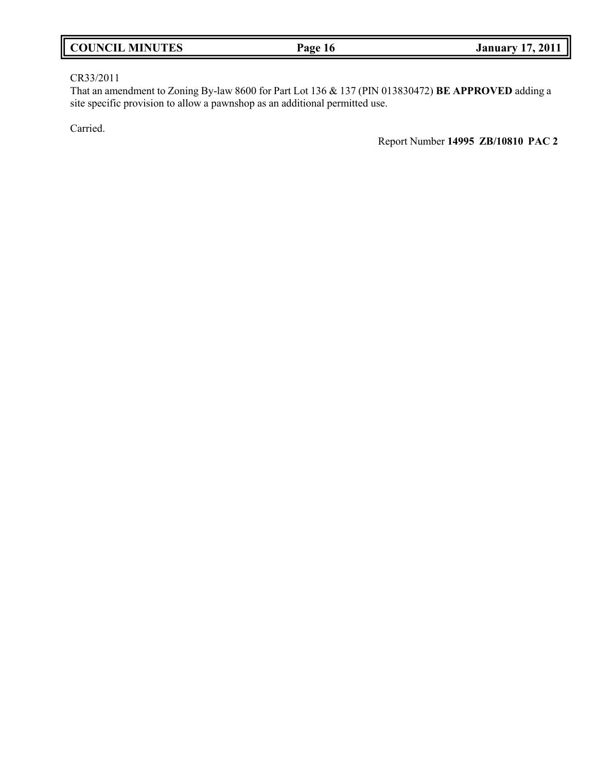| <b>COUNCIL MINUTES</b> | Page 16 | 17, 2011<br><b>January 1</b> |
|------------------------|---------|------------------------------|
|                        |         |                              |

## CR33/2011

That an amendment to Zoning By-law 8600 for Part Lot 136 & 137 (PIN 013830472) **BE APPROVED** adding a site specific provision to allow a pawnshop as an additional permitted use.

Carried.

Report Number **14995 ZB/10810 PAC 2**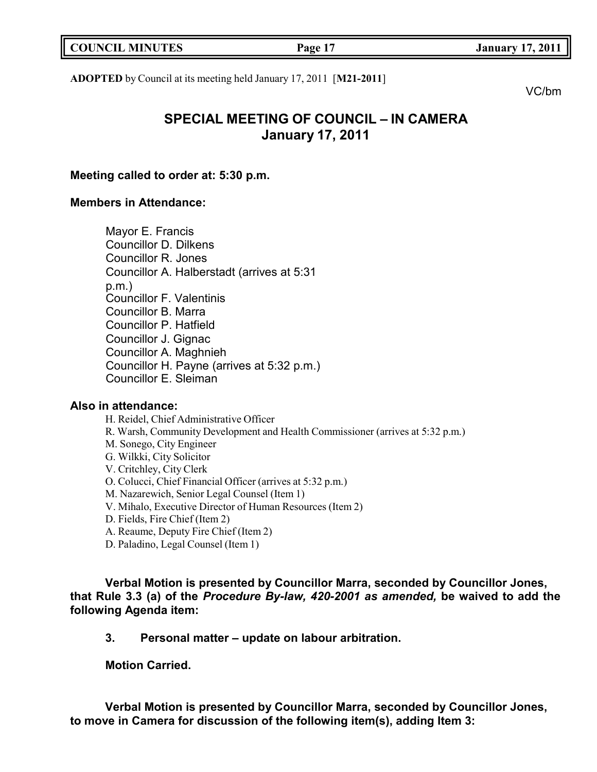| <b>COUNCIL MINUTES</b> | Page 17 | <b>January 17, 2011</b> |
|------------------------|---------|-------------------------|
|                        |         |                         |

**ADOPTED** by Council at its meeting held January 17, 2011 [**M21-2011**]

VC/bm

# **SPECIAL MEETING OF COUNCIL – IN CAMERA January 17, 2011**

## **Meeting called to order at: 5:30 p.m.**

## **Members in Attendance:**

Mayor E. Francis Councillor D. Dilkens Councillor R. Jones Councillor A. Halberstadt (arrives at 5:31 p.m.) Councillor F. Valentinis Councillor B. Marra Councillor P. Hatfield Councillor J. Gignac Councillor A. Maghnieh Councillor H. Payne (arrives at 5:32 p.m.) Councillor E. Sleiman

## **Also in attendance:**

H. Reidel, Chief Administrative Officer R. Warsh, Community Development and Health Commissioner (arrives at 5:32 p.m.) M. Sonego, City Engineer G. Wilkki, City Solicitor V. Critchley, City Clerk O. Colucci, Chief Financial Officer (arrives at 5:32 p.m.) M. Nazarewich, Senior Legal Counsel (Item 1) V. Mihalo, Executive Director of Human Resources (Item 2) D. Fields, Fire Chief (Item 2) A. Reaume, Deputy Fire Chief (Item 2) D. Paladino, Legal Counsel (Item 1)

**Verbal Motion is presented by Councillor Marra, seconded by Councillor Jones, that Rule 3.3 (a) of the** *Procedure By-law, 420-2001 as amended,* **be waived to add the following Agenda item:**

**3. Personal matter – update on labour arbitration.**

**Motion Carried.**

**Verbal Motion is presented by Councillor Marra, seconded by Councillor Jones, to move in Camera for discussion of the following item(s), adding Item 3:**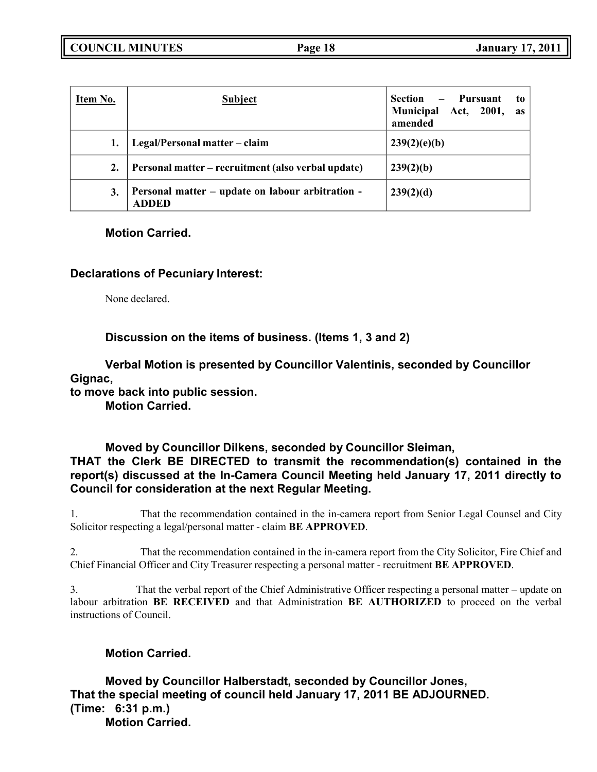**COUNCIL MINUTES Page 18 January 17, 2011**

| Item No. | <b>Subject</b>                                                   | Pursuant<br><b>Section</b><br>to<br>$\qquad \qquad -$<br>Municipal Act, 2001,<br><b>as</b><br>amended |
|----------|------------------------------------------------------------------|-------------------------------------------------------------------------------------------------------|
|          | Legal/Personal matter – claim                                    | 239(2)(e)(b)                                                                                          |
| 2.       | Personal matter – recruitment (also verbal update)               | 239(2)(b)                                                                                             |
| 3.       | Personal matter – update on labour arbitration -<br><b>ADDED</b> | 239(2)(d)                                                                                             |

## **Motion Carried.**

## **Declarations of Pecuniary Interest:**

None declared.

**Discussion on the items of business. (Items 1, 3 and 2)**

**Verbal Motion is presented by Councillor Valentinis, seconded by Councillor Gignac,**

**to move back into public session.**

**Motion Carried.**

## **Moved by Councillor Dilkens, seconded by Councillor Sleiman, THAT the Clerk BE DIRECTED to transmit the recommendation(s) contained in the report(s) discussed at the In-Camera Council Meeting held January 17, 2011 directly to Council for consideration at the next Regular Meeting.**

1. That the recommendation contained in the in-camera report from Senior Legal Counsel and City Solicitor respecting a legal/personal matter - claim **BE APPROVED**.

2. That the recommendation contained in the in-camera report from the City Solicitor, Fire Chief and Chief Financial Officer and City Treasurer respecting a personal matter - recruitment **BE APPROVED**.

3. That the verbal report of the Chief Administrative Officer respecting a personal matter – update on labour arbitration **BE RECEIVED** and that Administration **BE AUTHORIZED** to proceed on the verbal instructions of Council.

## **Motion Carried.**

**Moved by Councillor Halberstadt, seconded by Councillor Jones, That the special meeting of council held January 17, 2011 BE ADJOURNED. (Time: 6:31 p.m.) Motion Carried.**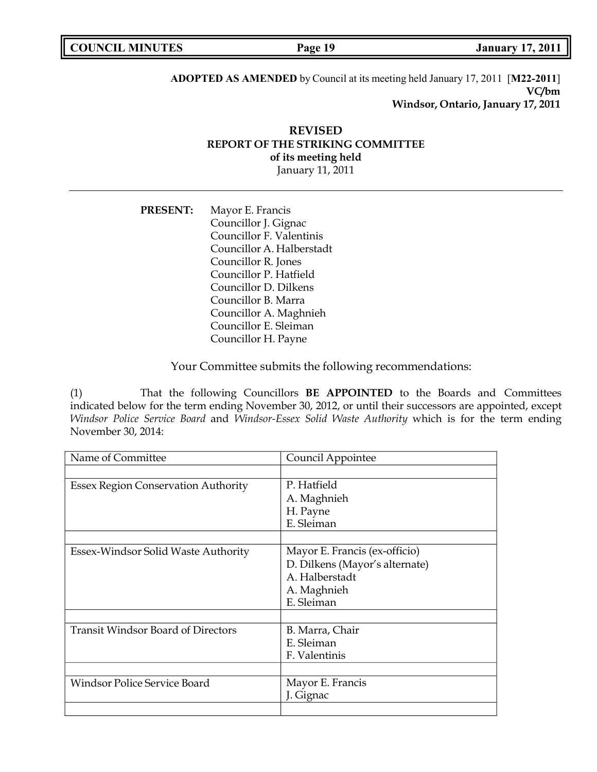| <b>COUNCIL MINUTES</b> | Page 19 | <b>January 17, 2011</b> |
|------------------------|---------|-------------------------|
|                        |         |                         |

**ADOPTED AS AMENDED** by Council at its meeting held January 17, 2011 [**M22-2011**] **VC/bm Windsor, Ontario, January 17, 2011**

## **REVISED REPORT OF THE STRIKING COMMITTEE of its meeting held** January 11, 2011

**PRESENT:** Mayor E. Francis Councillor J. Gignac Councillor F. Valentinis Councillor A. Halberstadt Councillor R. Jones Councillor P. Hatfield Councillor D. Dilkens Councillor B. Marra Councillor A. Maghnieh Councillor E. Sleiman Councillor H. Payne

Your Committee submits the following recommendations:

(1) That the following Councillors **BE APPOINTED** to the Boards and Committees indicated below for the term ending November 30, 2012, or until their successors are appointed, except *Windsor Police Service Board* and *Windsor-Essex Solid Waste Authority* which is for the term ending November 30, 2014:

| Name of Committee                          | Council Appointee              |
|--------------------------------------------|--------------------------------|
|                                            |                                |
| <b>Essex Region Conservation Authority</b> | P. Hatfield                    |
|                                            | A. Maghnieh                    |
|                                            | H. Payne                       |
|                                            | E. Sleiman                     |
|                                            |                                |
| Essex-Windsor Solid Waste Authority        | Mayor E. Francis (ex-officio)  |
|                                            | D. Dilkens (Mayor's alternate) |
|                                            | A. Halberstadt                 |
|                                            | A. Maghnieh                    |
|                                            | E. Sleiman                     |
|                                            |                                |
| <b>Transit Windsor Board of Directors</b>  | B. Marra, Chair                |
|                                            | E. Sleiman                     |
|                                            | F. Valentinis                  |
|                                            |                                |
| Windsor Police Service Board               | Mayor E. Francis               |
|                                            | J. Gignac                      |
|                                            |                                |